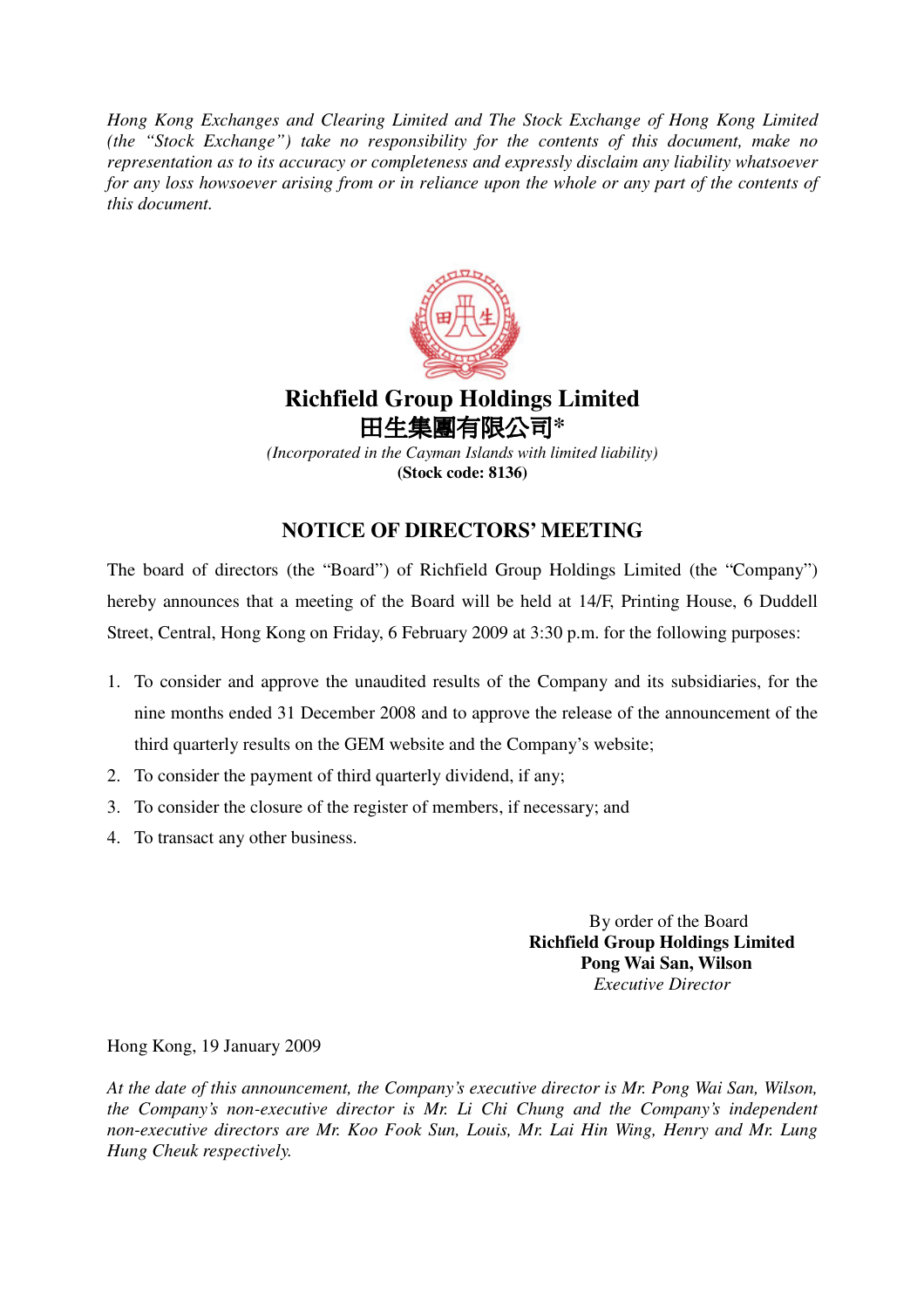*Hong Kong Exchanges and Clearing Limited and The Stock Exchange of Hong Kong Limited (the "Stock Exchange") take no responsibility for the contents of this document, make no representation as to its accuracy or completeness and expressly disclaim any liability whatsoever* for any loss howsoever arising from or in reliance upon the whole or any part of the contents of *this document.*



## **Richfield Group Holdings Limited** 田生**集團有限公司\***

*(Incorporated in the Cayman Islands with limited liability)* **(Stock code: 8136)**

## **NOTICE OF DIRECTORS' MEETING**

The board of directors (the "Board") of Richfield Group Holdings Limited (the "Company") hereby announces that a meeting of the Board will be held at 14/F, Printing House, 6 Duddell Street, Central, Hong Kong on Friday, 6 February 2009 at 3:30 p.m. for the following purposes:

- 1. To consider and approve the unaudited results of the Company and its subsidiaries, for the nine months ended 31 December 2008 and to approve the release of the announcement of the third quarterly results on the GEM website and the Company's website;
- 2. To consider the payment of third quarterly dividend, if any;
- 3. To consider the closure of the register of members, if necessary; and
- 4. To transact any other business.

By order of the Board **Richfield Group Holdings Limited Pong Wai San, Wilson** *Executive Director*

Hong Kong, 19 January 2009

*At the date of this announcement, the Company's executive director is Mr. Pong Wai San, Wilson, the Company's non-executive director is Mr. Li Chi Chung and the Company's independent non-executive directors are Mr. Koo Fook Sun, Louis, Mr. Lai Hin Wing, Henry and Mr. Lung Hung Cheuk respectively.*